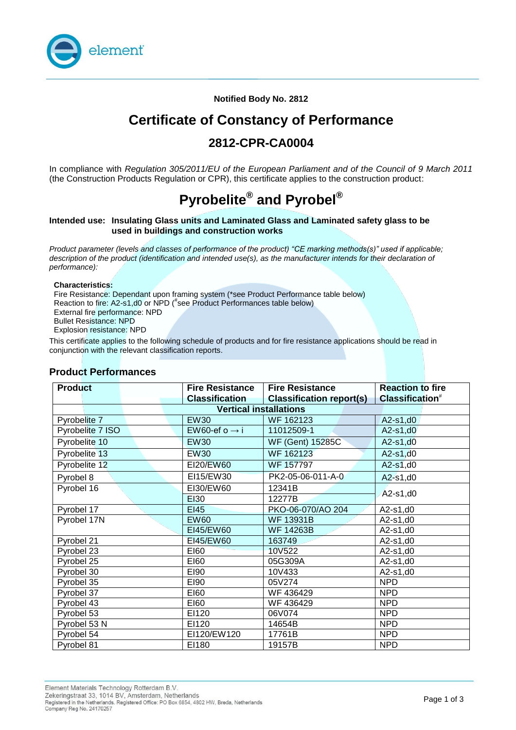

**Notified Body No. 2812**

# **Certificate of Constancy of Performance**

# **2812-CPR-CA0004**

In compliance with *Regulation 305/2011/EU of the European Parliament and of the Council of 9 March 2011*  (the Construction Products Regulation or CPR), this certificate applies to the construction product:

# **Pyrobelite® and Pyrobel®**

#### **Intended use: Insulating Glass units and Laminated Glass and Laminated safety glass to be used in buildings and construction works**

*Product parameter (levels and classes of performance of the product) "CE marking methods(s)" used if applicable; description of the product (identification and intended use(s), as the manufacturer intends for their declaration of performance):*

#### **Characteristics:**

Fire Resistance: Dependant upon framing system (\*see Product Performance table below) Reaction to fire: A2-s1,d0 or NPD (# see Product Performances table below) External fire performance: NPD Bullet Resistance: NPD

Explosion resistance: NPD

This certificate applies to the following schedule of products and for fire resistance applications should be read in conjunction with the relevant classification reports.

### **Product Performances**

| <b>Product</b>                | <b>Fire Resistance</b>    | <b>Fire Resistance</b>          | <b>Reaction to fire</b>     |  |
|-------------------------------|---------------------------|---------------------------------|-----------------------------|--|
|                               | <b>Classification</b>     | <b>Classification report(s)</b> | Classification <sup>#</sup> |  |
| <b>Vertical installations</b> |                           |                                 |                             |  |
| Pyrobelite 7                  | <b>EW30</b>               | WF 162123                       | A2-s1,d0                    |  |
| Pyrobelite 7 ISO              | EW60-ef o $\rightarrow$ i | 11012509-1                      | $A2-s1, d0$                 |  |
| Pyrobelite 10                 | <b>EW30</b>               | WF (Gent) 15285C                | $A2-s1, d0$                 |  |
| Pyrobelite 13                 | <b>EW30</b>               | WF 162123                       | $A2-s1, d0$                 |  |
| Pyrobelite 12                 | EI20/EW60                 | <b>WF 157797</b>                | $A2-s1, d0$                 |  |
| Pyrobel 8                     | EI15/EW30                 | PK2-05-06-011-A-0               | A2-s1,d0                    |  |
| Pyrobel 16                    | EI30/EW60                 | 12341B                          |                             |  |
|                               | <b>EI30</b>               | 12277B                          | A2-s1,d0                    |  |
| Pyrobel 17                    | EI45                      | PKO-06-070/AO 204               | A2-s1,d0                    |  |
| Pyrobel 17N                   | <b>EW60</b>               | <b>WF 13931B</b>                | A2-s1,d0                    |  |
|                               | EI45/EW60                 | <b>WF 14263B</b>                | A2-s1,d0                    |  |
| Pyrobel 21                    | EI45/EW60                 | 163749                          | A2-s1,d0                    |  |
| Pyrobel 23                    | <b>EI60</b>               | 10V522                          | $A2-s1,d0$                  |  |
| Pyrobel 25                    | E160                      | 05G309A                         | A2-s1,d0                    |  |
| Pyrobel 30                    | E190                      | 10V433                          | A2-s1,d0                    |  |
| Pyrobel 35                    | E190                      | 05V274                          | <b>NPD</b>                  |  |
| Pyrobel 37                    | E160                      | WF 436429                       | <b>NPD</b>                  |  |
| Pyrobel 43                    | E160                      | WF 436429                       | <b>NPD</b>                  |  |
| Pyrobel 53                    | EI120                     | 06V074                          | <b>NPD</b>                  |  |
| Pyrobel 53 N                  | EI120                     | 14654B                          | <b>NPD</b>                  |  |
| Pyrobel 54                    | EI120/EW120               | 17761B                          | <b>NPD</b>                  |  |
| Pyrobel 81                    | EI180                     | 19157B                          | <b>NPD</b>                  |  |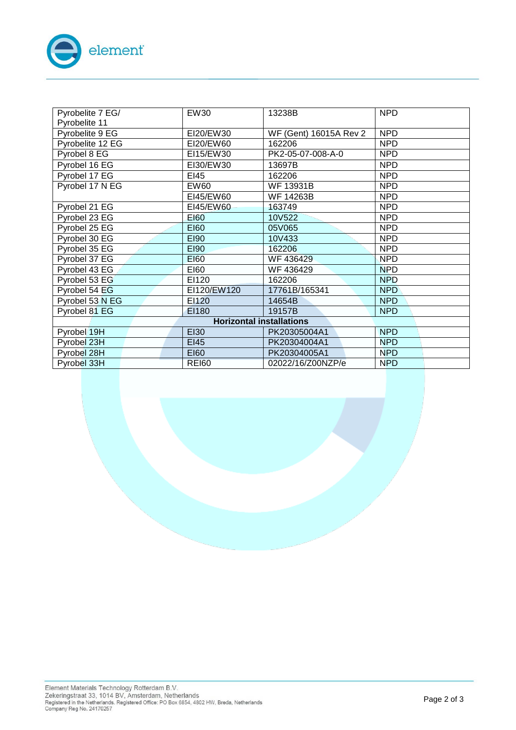

| Pyrobelite 7 EG/ | <b>EW30</b>  | 13238B                 | <b>NPD</b>       |
|------------------|--------------|------------------------|------------------|
| Pyrobelite 11    |              |                        |                  |
| Pyrobelite 9 EG  | EI20/EW30    | WF (Gent) 16015A Rev 2 | <b>NPD</b>       |
| Pyrobelite 12 EG | EI20/EW60    | 162206                 | <b>NPD</b>       |
| Pyrobel 8 EG     | EI15/EW30    | PK2-05-07-008-A-0      | <b>NPD</b>       |
| Pyrobel 16 EG    | EI30/EW30    | 13697B                 | <b>NPD</b>       |
| Pyrobel 17 EG    | EI45         | 162206                 | <b>NPD</b>       |
| Pyrobel 17 N EG  | EW60         | <b>WF 13931B</b>       | <b>NPD</b>       |
|                  | EI45/EW60    | <b>WF 14263B</b>       | <b>NPD</b>       |
| Pyrobel 21 EG    | EI45/EW60    | 163749                 | <b>NPD</b>       |
| Pyrobel 23 EG    | <b>EI60</b>  | 10V522                 | <b>NPD</b>       |
| Pyrobel 25 EG    | <b>EI60</b>  | 05V065                 | <b>NPD</b>       |
| Pyrobel 30 EG    | <b>EI90</b>  | 10V433                 | <b>NPD</b>       |
| Pyrobel 35 EG    | <b>EI90</b>  | 162206                 | <b>NPD</b>       |
| Pyrobel 37 EG    | <b>EI60</b>  | WF 436429              | <b>NPD</b>       |
| Pyrobel 43 EG    | E160         | WF 436429              | <b>NPD</b>       |
| Pyrobel 53 EG    | EI120        | 162206                 | <b>NPD</b>       |
| Pyrobel 54 EG    | EI120/EW120  | 17761B/165341          | NPD <sup>1</sup> |
| Pyrobel 53 N EG  | EI120        | 14654B                 | <b>NPD</b>       |
| Pyrobel 81 EG    | EI180        | 19157B                 | NPD              |
|                  |              |                        |                  |
| Pyrobel 19H      | <b>EI30</b>  | PK20305004A1           | <b>NPD</b>       |
| Pyrobel 23H      | EI45         | PK20304004A1           | <b>NPD</b>       |
| Pyrobel 28H      | <b>EI60</b>  | PK20304005A1           | <b>NPD</b>       |
| Pyrobel 33H      | <b>REI60</b> | 02022/16/Z00NZP/e      | <b>NPD</b>       |